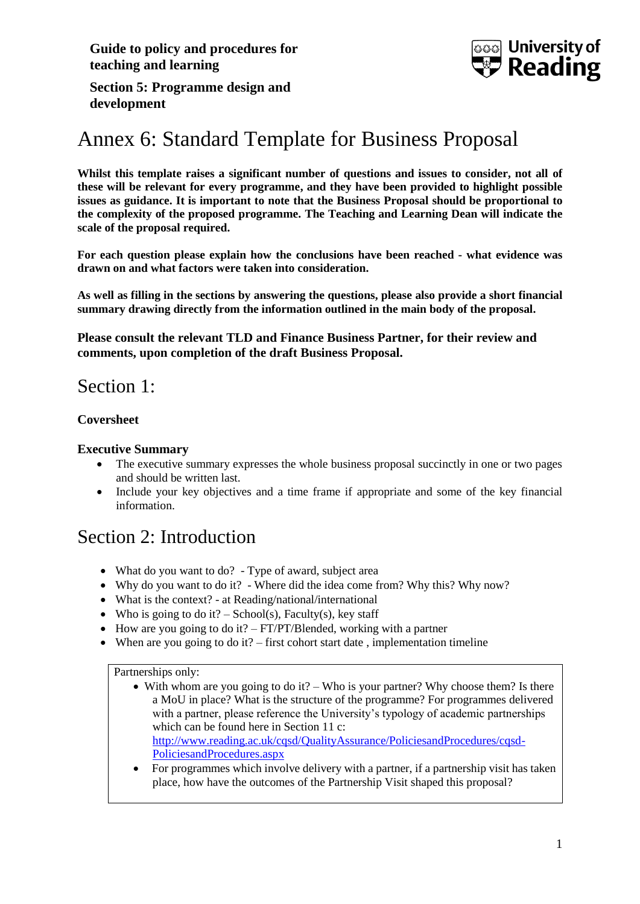**Guide to policy and procedures for teaching and learning**



**Section 5: Programme design and development**

# Annex 6: Standard Template for Business Proposal

**Whilst this template raises a significant number of questions and issues to consider, not all of these will be relevant for every programme, and they have been provided to highlight possible issues as guidance. It is important to note that the Business Proposal should be proportional to the complexity of the proposed programme. The Teaching and Learning Dean will indicate the scale of the proposal required.**

**For each question please explain how the conclusions have been reached - what evidence was drawn on and what factors were taken into consideration.**

**As well as filling in the sections by answering the questions, please also provide a short financial summary drawing directly from the information outlined in the main body of the proposal.**

**Please consult the relevant TLD and Finance Business Partner, for their review and comments, upon completion of the draft Business Proposal.**

# Section 1:

#### **Coversheet**

#### **Executive Summary**

- The executive summary expresses the whole business proposal succinctly in one or two pages and should be written last.
- Include your key objectives and a time frame if appropriate and some of the key financial information.

# Section 2: Introduction

- What do you want to do? Type of award, subject area
- Why do you want to do it? Where did the idea come from? Why this? Why now?
- What is the context? at Reading/national/international
- Who is going to do it? School(s), Faculty(s), key staff
- $\bullet$  How are you going to do it? FT/PT/Blended, working with a partner
- When are you going to do it? first cohort start date, implementation timeline

#### Partnerships only:

- $\bullet$  With whom are you going to do it? Who is your partner? Why choose them? Is there a MoU in place? What is the structure of the programme? For programmes delivered with a partner, please reference the University's typology of academic partnerships which can be found here in Section 11 c: [http://www.reading.ac.uk/cqsd/QualityAssurance/PoliciesandProcedures/cqsd-](http://www.reading.ac.uk/cqsd/QualityAssurance/PoliciesandProcedures/cqsd-PoliciesandProcedures.aspx)[PoliciesandProcedures.aspx](http://www.reading.ac.uk/cqsd/QualityAssurance/PoliciesandProcedures/cqsd-PoliciesandProcedures.aspx)
- For programmes which involve delivery with a partner, if a partnership visit has taken place, how have the outcomes of the Partnership Visit shaped this proposal?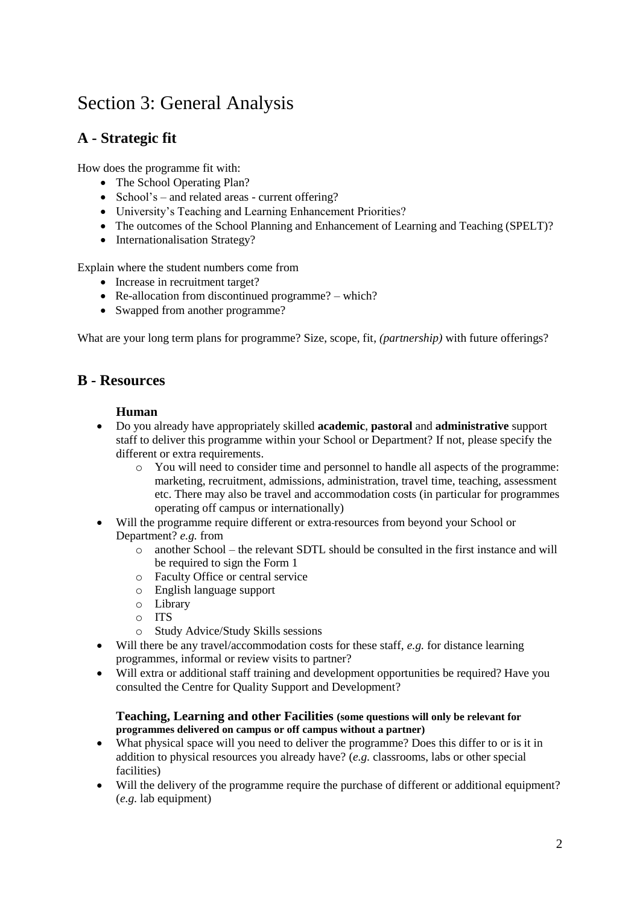# Section 3: General Analysis

# **A - Strategic fit**

How does the programme fit with:

- The School Operating Plan?
- School's and related areas current offering?
- University's Teaching and Learning Enhancement Priorities?
- The outcomes of the School Planning and Enhancement of Learning and Teaching (SPELT)?
- Internationalisation Strategy?

Explain where the student numbers come from

- Increase in recruitment target?
- Re-allocation from discontinued programme? which?
- Swapped from another programme?

What are your long term plans for programme? Size, scope, fit, *(partnership)* with future offerings?

## **B - Resources**

#### **Human**

- Do you already have appropriately skilled **academic**, **pastoral** and **administrative** support staff to deliver this programme within your School or Department? If not, please specify the different or extra requirements.
	- o You will need to consider time and personnel to handle all aspects of the programme: marketing, recruitment, admissions, administration, travel time, teaching, assessment etc. There may also be travel and accommodation costs (in particular for programmes operating off campus or internationally)
- Will the programme require different or extra resources from beyond your School or Department? *e.g.* from
	- o another School the relevant SDTL should be consulted in the first instance and will be required to sign the Form 1
	- o Faculty Office or central service
	- o English language support
	- o Library
	- o ITS
	- o Study Advice/Study Skills sessions
- Will there be any travel/accommodation costs for these staff, *e.g.* for distance learning programmes, informal or review visits to partner?
- Will extra or additional staff training and development opportunities be required? Have you consulted the Centre for Quality Support and Development?

#### **Teaching, Learning and other Facilities (some questions will only be relevant for programmes delivered on campus or off campus without a partner)**

- What physical space will you need to deliver the programme? Does this differ to or is it in addition to physical resources you already have? (*e.g.* classrooms, labs or other special facilities)
- Will the delivery of the programme require the purchase of different or additional equipment? (*e.g.* lab equipment)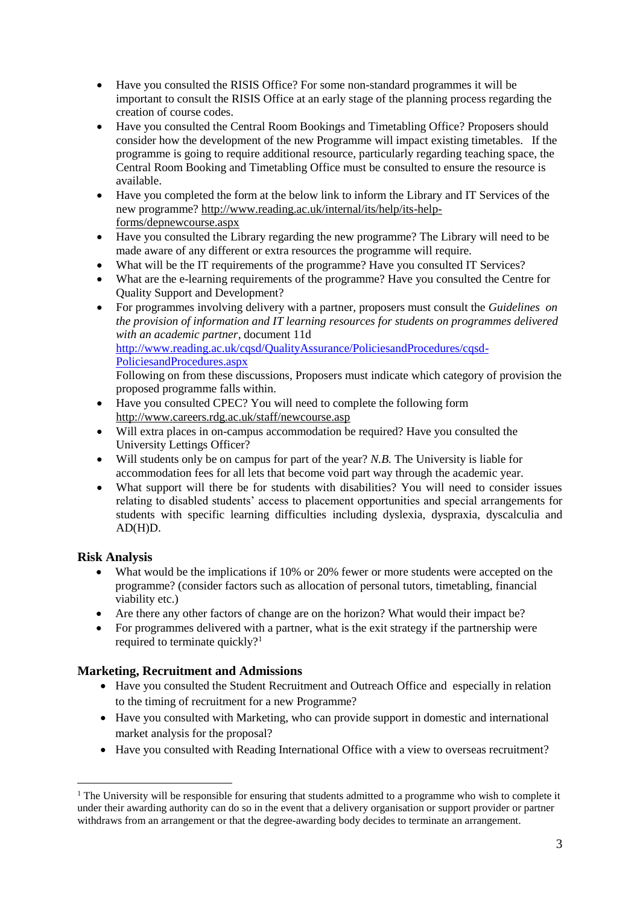- Have you consulted the RISIS Office? For some non-standard programmes it will be important to consult the RISIS Office at an early stage of the planning process regarding the creation of course codes.
- Have you consulted the Central Room Bookings and Timetabling Office? Proposers should consider how the development of the new Programme will impact existing timetables. If the programme is going to require additional resource, particularly regarding teaching space, the Central Room Booking and Timetabling Office must be consulted to ensure the resource is available.
- Have you completed the form at the below link to inform the Library and IT Services of the new programme? [http://www.reading.ac.uk/internal/its/help/its-help](http://www.reading.ac.uk/internal/its/help/its-help-forms/depnewcourse.aspx)[forms/depnewcourse.aspx](http://www.reading.ac.uk/internal/its/help/its-help-forms/depnewcourse.aspx)
- Have you consulted the Library regarding the new programme? The Library will need to be made aware of any different or extra resources the programme will require.
- What will be the IT requirements of the programme? Have you consulted IT Services?
- What are the e-learning requirements of the programme? Have you consulted the Centre for Quality Support and Development?
- For programmes involving delivery with a partner, proposers must consult the *Guidelines on the provision of information and IT learning resources for students on programmes delivered with an academic partner,* document 11d [http://www.reading.ac.uk/cqsd/QualityAssurance/PoliciesandProcedures/cqsd-](http://www.reading.ac.uk/cqsd/QualityAssurance/PoliciesandProcedures/cqsd-PoliciesandProcedures.aspx)[PoliciesandProcedures.aspx](http://www.reading.ac.uk/cqsd/QualityAssurance/PoliciesandProcedures/cqsd-PoliciesandProcedures.aspx)

Following on from these discussions, Proposers must indicate which category of provision the proposed programme falls within.

- Have you consulted CPEC? You will need to complete the following form <http://www.careers.rdg.ac.uk/staff/newcourse.asp>
- Will extra places in on-campus accommodation be required? Have you consulted the University Lettings Officer?
- Will students only be on campus for part of the year? *N.B.* The University is liable for accommodation fees for all lets that become void part way through the academic year.
- What support will there be for students with disabilities? You will need to consider issues relating to disabled students' access to placement opportunities and special arrangements for students with specific learning difficulties including dyslexia, dyspraxia, dyscalculia and AD(H)D.

### **Risk Analysis**

<u>.</u>

- What would be the implications if 10% or 20% fewer or more students were accepted on the programme? (consider factors such as allocation of personal tutors, timetabling, financial viability etc.)
- Are there any other factors of change are on the horizon? What would their impact be?
- For programmes delivered with a partner, what is the exit strategy if the partnership were required to terminate quickly?<sup>1</sup>

### **Marketing, Recruitment and Admissions**

- Have you consulted the Student Recruitment and Outreach Office and especially in relation to the timing of recruitment for a new Programme?
- Have you consulted with Marketing, who can provide support in domestic and international market analysis for the proposal?
- Have you consulted with Reading International Office with a view to overseas recruitment?

<sup>&</sup>lt;sup>1</sup> The University will be responsible for ensuring that students admitted to a programme who wish to complete it under their awarding authority can do so in the event that a delivery organisation or support provider or partner withdraws from an arrangement or that the degree-awarding body decides to terminate an arrangement.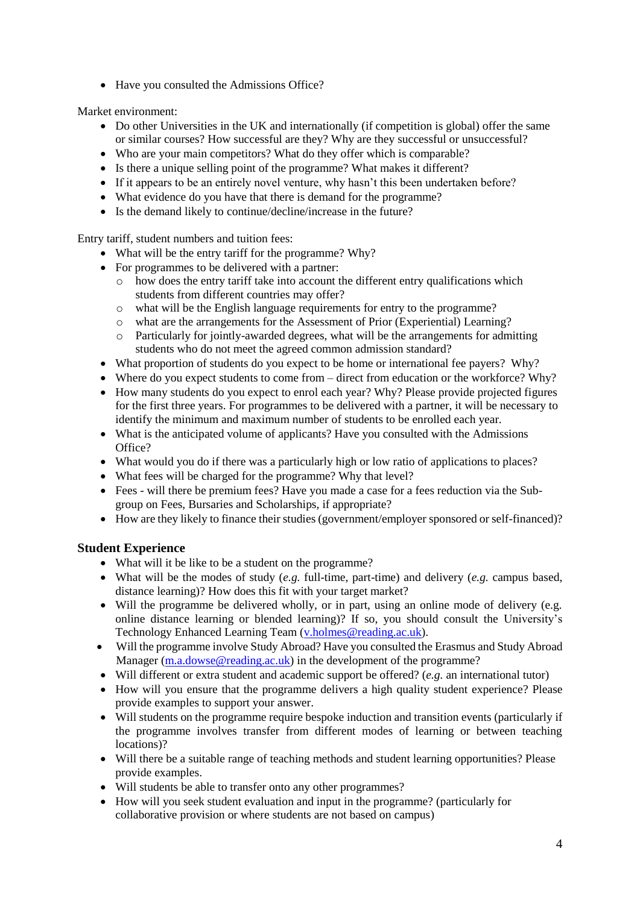• Have you consulted the Admissions Office?

Market environment:

- Do other Universities in the UK and internationally (if competition is global) offer the same or similar courses? How successful are they? Why are they successful or unsuccessful?
- Who are your main competitors? What do they offer which is comparable?
- Is there a unique selling point of the programme? What makes it different?
- If it appears to be an entirely novel venture, why hasn't this been undertaken before?
- What evidence do you have that there is demand for the programme?
- Is the demand likely to continue/decline/increase in the future?

Entry tariff, student numbers and tuition fees:

- What will be the entry tariff for the programme? Why?
- For programmes to be delivered with a partner:
	- $\circ$  how does the entry tariff take into account the different entry qualifications which students from different countries may offer?
	- o what will be the English language requirements for entry to the programme?
	- o what are the arrangements for the Assessment of Prior (Experiential) Learning?
	- o Particularly for jointly-awarded degrees, what will be the arrangements for admitting students who do not meet the agreed common admission standard?
- What proportion of students do you expect to be home or international fee payers? Why?
- Where do you expect students to come from direct from education or the workforce? Why?
- How many students do you expect to enrol each year? Why? Please provide projected figures for the first three years. For programmes to be delivered with a partner, it will be necessary to identify the minimum and maximum number of students to be enrolled each year.
- What is the anticipated volume of applicants? Have you consulted with the Admissions Office?
- What would you do if there was a particularly high or low ratio of applications to places?
- What fees will be charged for the programme? Why that level?
- Fees will there be premium fees? Have you made a case for a fees reduction via the Subgroup on Fees, Bursaries and Scholarships, if appropriate?
- How are they likely to finance their studies (government/employer sponsored or self-financed)?

#### **Student Experience**

- What will it be like to be a student on the programme?
- What will be the modes of study (*e.g.* full-time, part-time) and delivery (*e.g.* campus based, distance learning)? How does this fit with your target market?
- Will the programme be delivered wholly, or in part, using an online mode of delivery (e.g. online distance learning or blended learning)? If so, you should consult the University's Technology Enhanced Learning Team [\(v.holmes@reading.ac.uk\)](mailto:v.holmes@reading.ac.uk).
- Will the programme involve Study Abroad? Have you consulted the Erasmus and Study Abroad Manager [\(m.a.dowse@reading.ac.uk\)](mailto:m.a.dowse@reading.ac.uk) in the development of the programme?
- Will different or extra student and academic support be offered? (*e.g.* an international tutor)
- How will you ensure that the programme delivers a high quality student experience? Please provide examples to support your answer.
- Will students on the programme require bespoke induction and transition events (particularly if the programme involves transfer from different modes of learning or between teaching locations)?
- Will there be a suitable range of teaching methods and student learning opportunities? Please provide examples.
- Will students be able to transfer onto any other programmes?
- How will you seek student evaluation and input in the programme? (particularly for collaborative provision or where students are not based on campus)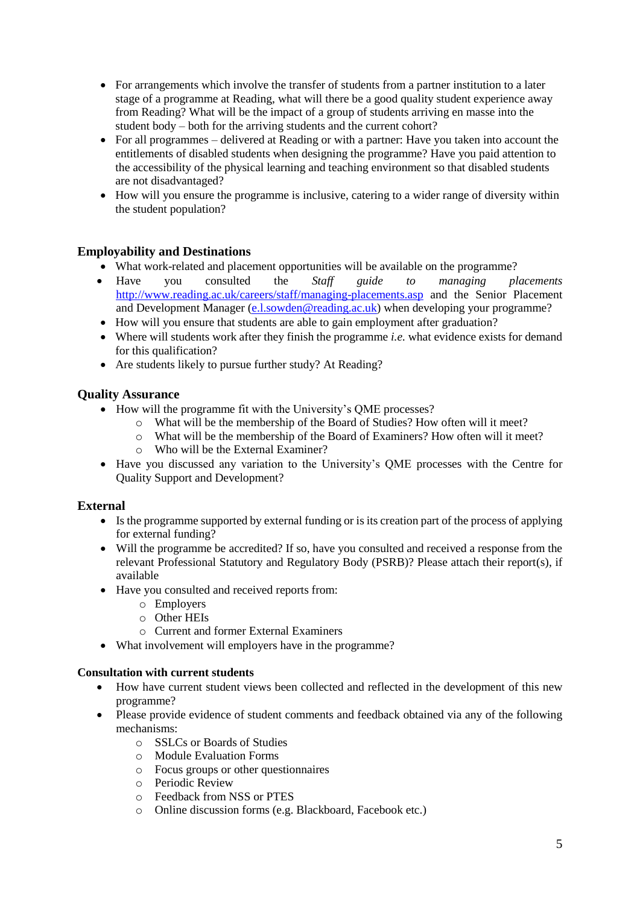- For arrangements which involve the transfer of students from a partner institution to a later stage of a programme at Reading, what will there be a good quality student experience away from Reading? What will be the impact of a group of students arriving en masse into the student body – both for the arriving students and the current cohort?
- For all programmes delivered at Reading or with a partner: Have you taken into account the entitlements of disabled students when designing the programme? Have you paid attention to the accessibility of the physical learning and teaching environment so that disabled students are not disadvantaged?
- How will you ensure the programme is inclusive, catering to a wider range of diversity within the student population?

### **Employability and Destinations**

- What work-related and placement opportunities will be available on the programme?
- Have you consulted the *Staff guide to managing placements* <http://www.reading.ac.uk/careers/staff/managing-placements.asp> and the Senior Placement and Development Manager [\(e.l.sowden@reading.ac.uk\)](mailto:e.l.sowden@reading.ac.uk) when developing your programme?
- How will you ensure that students are able to gain employment after graduation?
- Where will students work after they finish the programme *i.e.* what evidence exists for demand for this qualification?
- Are students likely to pursue further study? At Reading?

### **Quality Assurance**

- How will the programme fit with the University's OME processes?
	- o What will be the membership of the Board of Studies? How often will it meet?
	- o What will be the membership of the Board of Examiners? How often will it meet?
	- o Who will be the External Examiner?
- Have you discussed any variation to the University's QME processes with the Centre for Quality Support and Development?

### **External**

- Is the programme supported by external funding or is its creation part of the process of applying for external funding?
- Will the programme be accredited? If so, have you consulted and received a response from the relevant Professional Statutory and Regulatory Body (PSRB)? Please attach their report(s), if available
- Have you consulted and received reports from:
	- o Employers
	- o Other HEIs
	- o Current and former External Examiners
- What involvement will employers have in the programme?

#### **Consultation with current students**

- How have current student views been collected and reflected in the development of this new programme?
- Please provide evidence of student comments and feedback obtained via any of the following mechanisms:
	- o SSLCs or Boards of Studies
	- o Module Evaluation Forms
	- o Focus groups or other questionnaires
	- o Periodic Review
	- o Feedback from NSS or PTES
	- o Online discussion forms (e.g. Blackboard, Facebook etc.)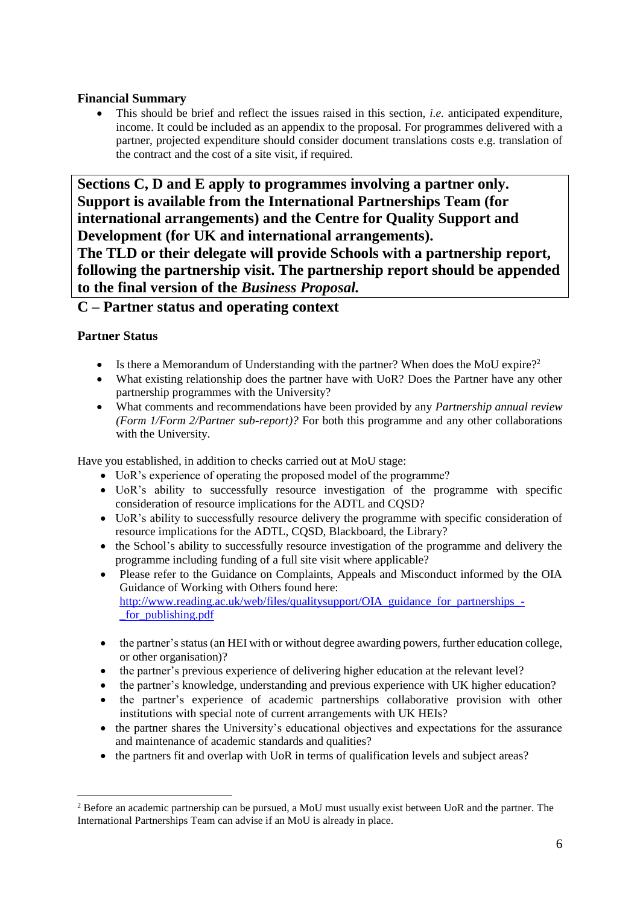### **Financial Summary**

 This should be brief and reflect the issues raised in this section, *i.e.* anticipated expenditure, income. It could be included as an appendix to the proposal. For programmes delivered with a partner, projected expenditure should consider document translations costs e.g. translation of the contract and the cost of a site visit, if required.

**Sections C, D and E apply to programmes involving a partner only. Support is available from the International Partnerships Team (for international arrangements) and the Centre for Quality Support and Development (for UK and international arrangements). The TLD or their delegate will provide Schools with a partnership report, following the partnership visit. The partnership report should be appended** 

**to the final version of the** *Business Proposal.*

## **C – Partner status and operating context**

### **Partner Status**

- Is there a Memorandum of Understanding with the partner? When does the MoU expire?<sup>2</sup>
- What existing relationship does the partner have with UoR? Does the Partner have any other partnership programmes with the University?
- What comments and recommendations have been provided by any *Partnership annual review (Form 1/Form 2/Partner sub-report)?* For both this programme and any other collaborations with the University.

Have you established, in addition to checks carried out at MoU stage:

- UoR's experience of operating the proposed model of the programme?
- UoR's ability to successfully resource investigation of the programme with specific consideration of resource implications for the ADTL and CQSD?
- UoR's ability to successfully resource delivery the programme with specific consideration of resource implications for the ADTL, CQSD, Blackboard, the Library?
- the School's ability to successfully resource investigation of the programme and delivery the programme including funding of a full site visit where applicable?
- Please refer to the Guidance on Complaints, Appeals and Misconduct informed by the OIA Guidance of Working with Others found here: [http://www.reading.ac.uk/web/files/qualitysupport/OIA\\_guidance\\_for\\_partnerships\\_-](http://www.reading.ac.uk/web/files/qualitysupport/OIA_guidance_for_partnerships_-_for_publishing.pdf) [\\_for\\_publishing.pdf](http://www.reading.ac.uk/web/files/qualitysupport/OIA_guidance_for_partnerships_-_for_publishing.pdf)
- the partner's status (an HEI with or without degree awarding powers, further education college, or other organisation)?
- the partner's previous experience of delivering higher education at the relevant level?
- the partner's knowledge, understanding and previous experience with UK higher education?
- the partner's experience of academic partnerships collaborative provision with other institutions with special note of current arrangements with UK HEIs?
- the partner shares the University's educational objectives and expectations for the assurance and maintenance of academic standards and qualities?
- the partners fit and overlap with UoR in terms of qualification levels and subject areas?

<sup>1</sup> <sup>2</sup> Before an academic partnership can be pursued, a MoU must usually exist between UoR and the partner. The International Partnerships Team can advise if an MoU is already in place.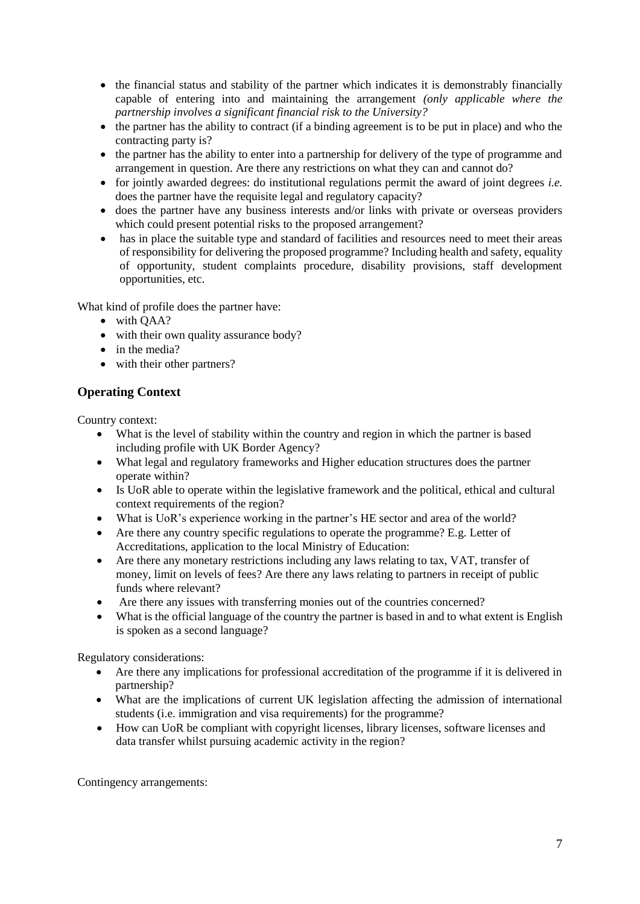- the financial status and stability of the partner which indicates it is demonstrably financially capable of entering into and maintaining the arrangement *(only applicable where the partnership involves a significant financial risk to the University?*
- the partner has the ability to contract (if a binding agreement is to be put in place) and who the contracting party is?
- the partner has the ability to enter into a partnership for delivery of the type of programme and arrangement in question. Are there any restrictions on what they can and cannot do?
- for jointly awarded degrees: do institutional regulations permit the award of joint degrees *i.e.* does the partner have the requisite legal and regulatory capacity?
- does the partner have any business interests and/or links with private or overseas providers which could present potential risks to the proposed arrangement?
- has in place the suitable type and standard of facilities and resources need to meet their areas of responsibility for delivering the proposed programme? Including health and safety, equality of opportunity, student complaints procedure, disability provisions, staff development opportunities, etc.

What kind of profile does the partner have:

- with OAA?
- with their own quality assurance body?
- in the media?
- with their other partners?

## **Operating Context**

Country context:

- What is the level of stability within the country and region in which the partner is based including profile with UK Border Agency?
- What legal and regulatory frameworks and Higher education structures does the partner operate within?
- Is UoR able to operate within the legislative framework and the political, ethical and cultural context requirements of the region?
- What is UoR's experience working in the partner's HE sector and area of the world?
- Are there any country specific regulations to operate the programme? E.g. Letter of Accreditations, application to the local Ministry of Education:
- Are there any monetary restrictions including any laws relating to tax, VAT, transfer of money, limit on levels of fees? Are there any laws relating to partners in receipt of public funds where relevant?
- Are there any issues with transferring monies out of the countries concerned?
- What is the official language of the country the partner is based in and to what extent is English is spoken as a second language?

Regulatory considerations:

- Are there any implications for professional accreditation of the programme if it is delivered in partnership?
- What are the implications of current UK legislation affecting the admission of international students (i.e. immigration and visa requirements) for the programme?
- How can UoR be compliant with copyright licenses, library licenses, software licenses and data transfer whilst pursuing academic activity in the region?

Contingency arrangements: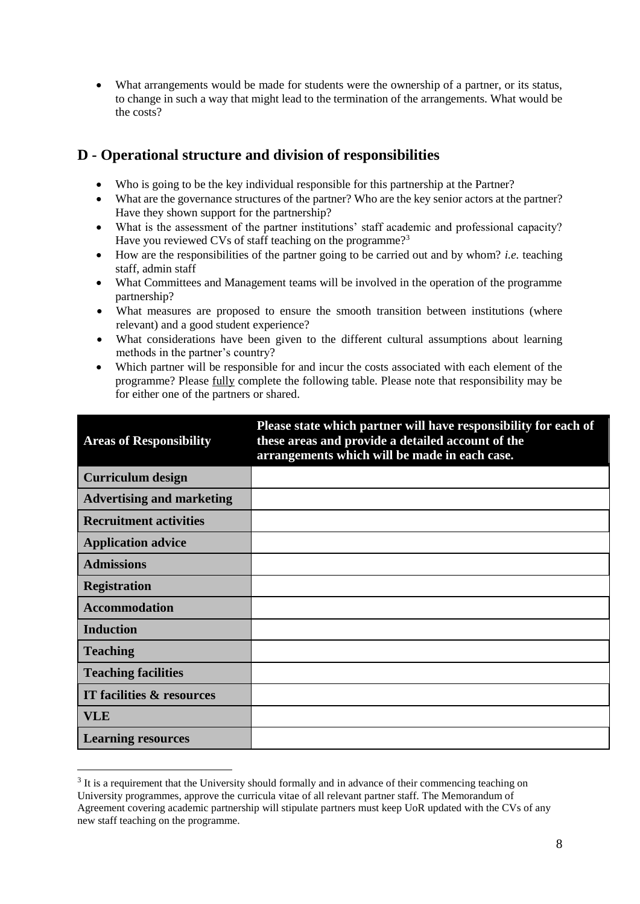What arrangements would be made for students were the ownership of a partner, or its status, to change in such a way that might lead to the termination of the arrangements. What would be the costs?

# **D - Operational structure and division of responsibilities**

- Who is going to be the key individual responsible for this partnership at the Partner?
- What are the governance structures of the partner? Who are the key senior actors at the partner? Have they shown support for the partnership?
- What is the assessment of the partner institutions' staff academic and professional capacity? Have you reviewed CVs of staff teaching on the programme?<sup>3</sup>
- How are the responsibilities of the partner going to be carried out and by whom? *i.e.* teaching staff, admin staff
- What Committees and Management teams will be involved in the operation of the programme partnership?
- What measures are proposed to ensure the smooth transition between institutions (where relevant) and a good student experience?
- What considerations have been given to the different cultural assumptions about learning methods in the partner's country?
- Which partner will be responsible for and incur the costs associated with each element of the programme? Please fully complete the following table. Please note that responsibility may be for either one of the partners or shared.

| <b>Areas of Responsibility</b>   | Please state which partner will have responsibility for each of<br>these areas and provide a detailed account of the<br>arrangements which will be made in each case. |
|----------------------------------|-----------------------------------------------------------------------------------------------------------------------------------------------------------------------|
| <b>Curriculum design</b>         |                                                                                                                                                                       |
| <b>Advertising and marketing</b> |                                                                                                                                                                       |
| <b>Recruitment activities</b>    |                                                                                                                                                                       |
| <b>Application advice</b>        |                                                                                                                                                                       |
| <b>Admissions</b>                |                                                                                                                                                                       |
| <b>Registration</b>              |                                                                                                                                                                       |
| <b>Accommodation</b>             |                                                                                                                                                                       |
| <b>Induction</b>                 |                                                                                                                                                                       |
| <b>Teaching</b>                  |                                                                                                                                                                       |
| <b>Teaching facilities</b>       |                                                                                                                                                                       |
| IT facilities & resources        |                                                                                                                                                                       |
| <b>VLE</b>                       |                                                                                                                                                                       |
| <b>Learning resources</b>        |                                                                                                                                                                       |

 $3$  It is a requirement that the University should formally and in advance of their commencing teaching on University programmes, approve the curricula vitae of all relevant partner staff. The Memorandum of Agreement covering academic partnership will stipulate partners must keep UoR updated with the CVs of any new staff teaching on the programme.

1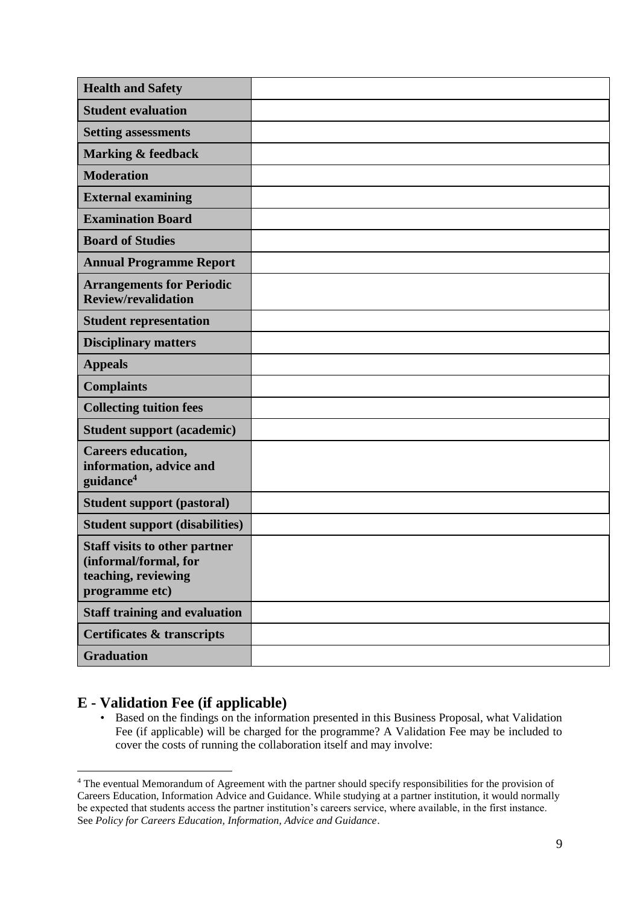| <b>Health and Safety</b>                                                                               |  |
|--------------------------------------------------------------------------------------------------------|--|
| <b>Student evaluation</b>                                                                              |  |
| <b>Setting assessments</b>                                                                             |  |
| <b>Marking &amp; feedback</b>                                                                          |  |
| <b>Moderation</b>                                                                                      |  |
| <b>External examining</b>                                                                              |  |
| <b>Examination Board</b>                                                                               |  |
| <b>Board of Studies</b>                                                                                |  |
| <b>Annual Programme Report</b>                                                                         |  |
| <b>Arrangements for Periodic</b><br><b>Review/revalidation</b>                                         |  |
| <b>Student representation</b>                                                                          |  |
| <b>Disciplinary matters</b>                                                                            |  |
| <b>Appeals</b>                                                                                         |  |
| <b>Complaints</b>                                                                                      |  |
| <b>Collecting tuition fees</b>                                                                         |  |
| <b>Student support (academic)</b>                                                                      |  |
| <b>Careers education,</b><br>information, advice and<br>guidance <sup>4</sup>                          |  |
| <b>Student support (pastoral)</b>                                                                      |  |
| <b>Student support (disabilities)</b>                                                                  |  |
| <b>Staff visits to other partner</b><br>(informal/formal, for<br>teaching, reviewing<br>programme etc) |  |
| <b>Staff training and evaluation</b>                                                                   |  |
| <b>Certificates &amp; transcripts</b>                                                                  |  |
| <b>Graduation</b>                                                                                      |  |

## **E - Validation Fee (if applicable)**

1

• Based on the findings on the information presented in this Business Proposal, what Validation Fee (if applicable) will be charged for the programme? A Validation Fee may be included to cover the costs of running the collaboration itself and may involve:

<sup>&</sup>lt;sup>4</sup> The eventual Memorandum of Agreement with the partner should specify responsibilities for the provision of Careers Education, Information Advice and Guidance. While studying at a partner institution, it would normally be expected that students access the partner institution's careers service, where available, in the first instance. See *Policy for Careers Education, Information, Advice and Guidance*.